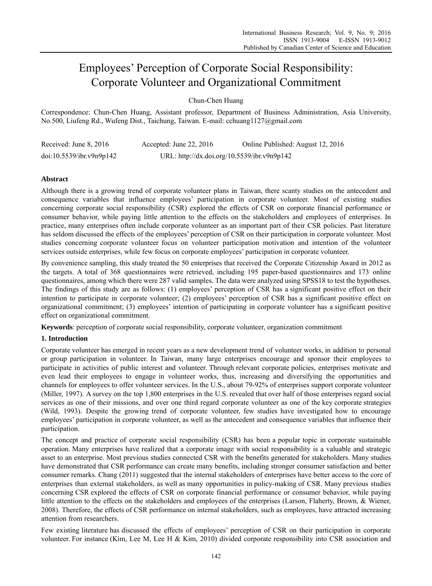# Employees' Perception of Corporate Social Responsibility: Corporate Volunteer and Organizational Commitment

Chun-Chen Huang

Correspondence: Chun-Chen Huang, Assistant professor, Department of Business Administration, Asia University, No.500, Liufeng Rd., Wufeng Dist., Taichung, Taiwan. E-mail: cchuang1127@gmail.com

| Received: June 8, 2016   | Accepted: June 22, $2016$                   | Online Published: August 12, 2016 |
|--------------------------|---------------------------------------------|-----------------------------------|
| doi:10.5539/ibr.v9n9p142 | URL: http://dx.doi.org/10.5539/ibr.v9n9p142 |                                   |

# **Abstract**

Although there is a growing trend of corporate volunteer plans in Taiwan, there scanty studies on the antecedent and consequence variables that influence employees' participation in corporate volunteer. Most of existing studies concerning corporate social responsibility (CSR) explored the effects of CSR on corporate financial performance or consumer behavior, while paying little attention to the effects on the stakeholders and employees of enterprises. In practice, many enterprises often include corporate volunteer as an important part of their CSR policies. Past literature has seldom discussed the effects of the employees' perception of CSR on their participation in corporate volunteer. Most studies concerning corporate volunteer focus on volunteer participation motivation and intention of the volunteer services outside enterprises, while few focus on corporate employees' participation in corporate volunteer.

By convenience sampling, this study treated the 50 enterprises that received the Corporate Citizenship Award in 2012 as the targets. A total of 368 questionnaires were retrieved, including 195 paper-based questionnaires and 173 online questionnaires, among which there were 287 valid samples. The data were analyzed using SPSS18 to test the hypotheses. The findings of this study are as follows: (1) employees' perception of CSR has a significant positive effect on their intention to participate in corporate volunteer; (2) employees' perception of CSR has a significant positive effect on organizational commitment; (3) employees' intention of participating in corporate volunteer has a significant positive effect on organizational commitment.

**Keywords**: perception of corporate social responsibility, corporate volunteer, organization commitment

# **1. Introduction**

Corporate volunteer has emerged in recent years as a new development trend of volunteer works, in addition to personal or group participation in volunteer. In Taiwan, many large enterprises encourage and sponsor their employees to participate in activities of public interest and volunteer. Through relevant corporate policies, enterprises motivate and even lead their employees to engage in volunteer works, thus, increasing and diversifying the opportunities and channels for employees to offer volunteer services. In the U.S., about 79-92% of enterprises support corporate volunteer (Miller, 1997). A survey on the top 1,800 enterprises in the U.S. revealed that over half of those enterprises regard social services as one of their missions, and over one third regard corporate volunteer as one of the key corporate strategies (Wild, 1993). Despite the growing trend of corporate volunteer, few studies have investigated how to encourage employees' participation in corporate volunteer, as well as the antecedent and consequence variables that influence their participation.

The concept and practice of corporate social responsibility (CSR) has been a popular topic in corporate sustainable operation. Many enterprises have realized that a corporate image with social responsibility is a valuable and strategic asset to an enterprise. Most previous studies connected CSR with the benefits generated for stakeholders. Many studies have demonstrated that CSR performance can create many benefits, including stronger consumer satisfaction and better consumer remarks. Chang (2011) suggested that the internal stakeholders of enterprises have better access to the core of enterprises than external stakeholders, as well as many opportunities in policy-making of CSR. Many previous studies concerning CSR explored the effects of CSR on corporate financial performance or consumer behavior, while paying little attention to the effects on the stakeholders and employees of the enterprises (Larson, Flaherty, Brown, & Wiener, 2008). Therefore, the effects of CSR performance on internal stakeholders, such as employees, have attracted increasing attention from researchers.

Few existing literature has discussed the effects of employees' perception of CSR on their participation in corporate volunteer. For instance (Kim, Lee M, Lee H & Kim, 2010) divided corporate responsibility into CSR association and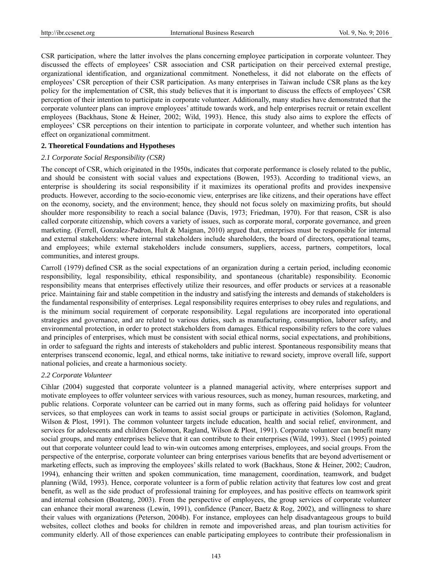CSR participation, where the latter involves the plans concerning employee participation in corporate volunteer. They discussed the effects of employees' CSR association and CSR participation on their perceived external prestige, organizational identification, and organizational commitment. Nonetheless, it did not elaborate on the effects of employees' CSR perception of their CSR participation. As many enterprises in Taiwan include CSR plans as the key policy for the implementation of CSR, this study believes that it is important to discuss the effects of employees' CSR perception of their intention to participate in corporate volunteer. Additionally, many studies have demonstrated that the corporate volunteer plans can improve employees' attitude towards work, and help enterprises recruit or retain excellent employees (Backhaus, Stone & Heiner, 2002; Wild, 1993). Hence, this study also aims to explore the effects of employees' CSR perceptions on their intention to participate in corporate volunteer, and whether such intention has effect on organizational commitment.

# **2. Theoretical Foundations and Hypotheses**

# *2.1 Corporate Social Responsibility (CSR)*

The concept of CSR, which originated in the 1950s, indicates that corporate performance is closely related to the public, and should be consistent with social values and expectations (Bowen, 1953). According to traditional views, an enterprise is shouldering its social responsibility if it maximizes its operational profits and provides inexpensive products. However, according to the socio-economic view, enterprises are like citizens, and their operations have effect on the economy, society, and the environment; hence, they should not focus solely on maximizing profits, but should shoulder more responsibility to reach a social balance (Davis, 1973; Friedman, 1970). For that reason, CSR is also called corporate citizenship, which covers a variety of issues, such as corporate moral, corporate governance, and green marketing. (Ferrell, Gonzalez-Padron, Hult & Maignan, 2010) argued that, enterprises must be responsible for internal and external stakeholders: where internal stakeholders include shareholders, the board of directors, operational teams, and employees; while external stakeholders include consumers, suppliers, access, partners, competitors, local communities, and interest groups.

Carroll (1979) defined CSR as the social expectations of an organization during a certain period, including economic responsibility, legal responsibility, ethical responsibility, and spontaneous (charitable) responsibility. Economic responsibility means that enterprises effectively utilize their resources, and offer products or services at a reasonable price. Maintaining fair and stable competition in the industry and satisfying the interests and demands of stakeholders is the fundamental responsibility of enterprises. Legal responsibility requires enterprises to obey rules and regulations, and is the minimum social requirement of corporate responsibility. Legal regulations are incorporated into operational strategies and governance, and are related to various duties, such as manufacturing, consumption, laborer safety, and environmental protection, in order to protect stakeholders from damages. Ethical responsibility refers to the core values and principles of enterprises, which must be consistent with social ethical norms, social expectations, and prohibitions, in order to safeguard the rights and interests of stakeholders and public interest. Spontaneous responsibility means that enterprises transcend economic, legal, and ethical norms, take initiative to reward society, improve overall life, support national policies, and create a harmonious society.

# *2.2 Corporate Volunteer*

Cihlar (2004) suggested that corporate volunteer is a planned managerial activity, where enterprises support and motivate employees to offer volunteer services with various resources, such as money, human resources, marketing, and public relations. Corporate volunteer can be carried out in many forms, such as offering paid holidays for volunteer services, so that employees can work in teams to assist social groups or participate in activities (Solomon, Ragland, Wilson & Plost, 1991). The common volunteer targets include education, health and social relief, environment, and services for adolescents and children (Solomon, Ragland, Wilson & Plost, 1991). Corporate volunteer can benefit many social groups, and many enterprises believe that it can contribute to their enterprises (Wild, 1993). Steel (1995) pointed out that corporate volunteer could lead to win-win outcomes among enterprises, employees, and social groups. From the perspective of the enterprise, corporate volunteer can bring enterprises various benefits that are beyond advertisement or marketing effects, such as improving the employees' skills related to work (Backhaus, Stone & Heiner, 2002; Caudron, 1994), enhancing their written and spoken communication, time management, coordination, teamwork, and budget planning (Wild, 1993). Hence, corporate volunteer is a form of public relation activity that features low cost and great benefit, as well as the side product of professional training for employees, and has positive effects on teamwork spirit and internal cohesion (Boateng, 2003). From the perspective of employees, the group services of corporate volunteer can enhance their moral awareness (Lewin, 1991), confidence (Pancer, Baetz & Rog, 2002), and willingness to share their values with organizations (Peterson, 2004b). For instance, employees can help disadvantageous groups to build websites, collect clothes and books for children in remote and impoverished areas, and plan tourism activities for community elderly. All of those experiences can enable participating employees to contribute their professionalism in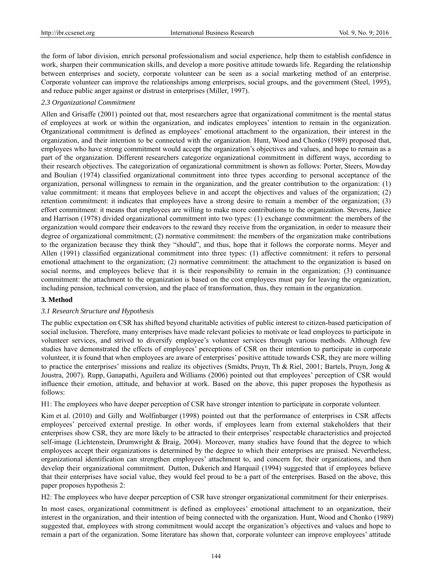the form of labor division, enrich personal professionalism and social experience, help them to establish confidence in work, sharpen their communication skills, and develop a more positive attitude towards life. Regarding the relationship between enterprises and society, corporate volunteer can be seen as a social marketing method of an enterprise. Corporate volunteer can improve the relationships among enterprises, social groups, and the government (Steel, 1995), and reduce public anger against or distrust in enterprises (Miller, 1997).

#### *2.3 Organizational Commitment*

Allen and Grisaffe (2001) pointed out that, most researchers agree that organizational commitment is the mental status of employees at work or within the organization, and indicates employees' intention to remain in the organization. Organizational commitment is defined as employees' emotional attachment to the organization, their interest in the organization, and their intention to be connected with the organization. Hunt, Wood and Chonko (1989) proposed that, employees who have strong commitment would accept the organization's objectives and values, and hope to remain as a part of the organization. Different researchers categorize organizational commitment in different ways, according to their research objectives. The categorization of organizational commitment is shown as follows: Porter, Steers, Mowday and Boulian (1974) classified organizational commitment into three types according to personal acceptance of the organization, personal willingness to remain in the organization, and the greater contribution to the organization: (1) value commitment: it means that employees believe in and accept the objectives and values of the organization; (2) retention commitment: it indicates that employees have a strong desire to remain a member of the organization; (3) effort commitment: it means that employees are willing to make more contributions to the organization. Stevens, Janice and Harrison (1978) divided organizational commitment into two types: (1) exchange commitment: the members of the organization would compare their endeavors to the reward they receive from the organization, in order to measure their degree of organizational commitment; (2) normative commitment: the members of the organization make contributions to the organization because they think they "should", and thus, hope that it follows the corporate norms. Meyer and Allen (1991) classified organizational commitment into three types: (1) affective commitment: it refers to personal emotional attachment to the organization; (2) normative commitment: the attachment to the organization is based on social norms, and employees believe that it is their responsibility to remain in the organization; (3) continuance commitment: the attachment to the organization is based on the cost employees must pay for leaving the organization, including pension, technical conversion, and the place of transformation, thus, they remain in the organization.

#### **3. Method**

#### *3.1 Research Structure and Hypothesis*

The public expectation on CSR has shifted beyond charitable activities of public interest to citizen-based participation of social inclusion. Therefore, many enterprises have made relevant policies to motivate or lead employees to participate in volunteer services, and strived to diversify employee's volunteer services through various methods. Although few studies have demonstrated the effects of employees' perceptions of CSR on their intention to participate in corporate volunteer, it is found that when employees are aware of enterprises' positive attitude towards CSR, they are more willing to practice the enterprises' missions and realize its objectives (Smidts, Pruyn, Th & Riel, 2001; Bartels, Pruyn, Jong & Joustra, 2007). Rupp, Ganapathi, Aguilera and Williams (2006) pointed out that employees' perception of CSR would influence their emotion, attitude, and behavior at work. Based on the above, this paper proposes the hypothesis as follows:

H1: The employees who have deeper perception of CSR have stronger intention to participate in corporate volunteer.

Kim et al. (2010) and Gilly and Wolfinbarger (1998) pointed out that the performance of enterprises in CSR affects employees' perceived external prestige. In other words, if employees learn from external stakeholders that their enterprises show CSR, they are more likely to be attracted to their enterprises' respectable characteristics and projected self-image (Lichtenstein, Drumwright & Braig, 2004). Moreover, many studies have found that the degree to which employees accept their organizations is determined by the degree to which their enterprises are praised. Nevertheless, organizational identification can strengthen employees' attachment to, and concern for, their organizations, and then develop their organizational commitment. Dutton, Dukerich and Harquail (1994) suggested that if employees believe that their enterprises have social value, they would feel proud to be a part of the enterprises. Based on the above, this paper proposes hypothesis 2:

H2: The employees who have deeper perception of CSR have stronger organizational commitment for their enterprises.

In most cases, organizational commitment is defined as employees' emotional attachment to an organization, their interest in the organization, and their intention of being connected with the organization. Hunt, Wood and Chonko (1989) suggested that, employees with strong commitment would accept the organization's objectives and values and hope to remain a part of the organization. Some literature has shown that, corporate volunteer can improve employees' attitude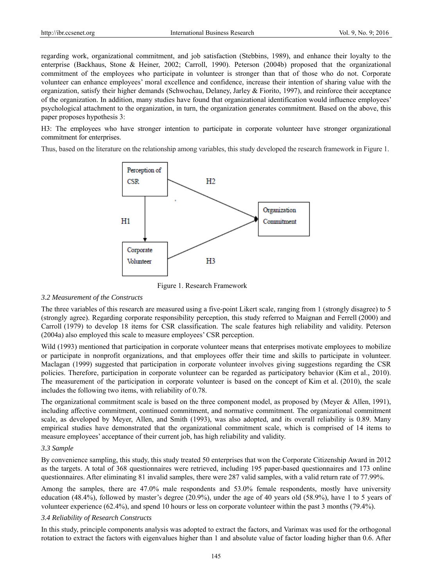regarding work, organizational commitment, and job satisfaction (Stebbins, 1989), and enhance their loyalty to the enterprise (Backhaus, Stone & Heiner, 2002; Carroll, 1990). Peterson (2004b) proposed that the organizational commitment of the employees who participate in volunteer is stronger than that of those who do not. Corporate volunteer can enhance employees' moral excellence and confidence, increase their intention of sharing value with the organization, satisfy their higher demands (Schwochau, Delaney, Jarley & Fiorito, 1997), and reinforce their acceptance of the organization. In addition, many studies have found that organizational identification would influence employees' psychological attachment to the organization, in turn, the organization generates commitment. Based on the above, this paper proposes hypothesis 3:

H3: The employees who have stronger intention to participate in corporate volunteer have stronger organizational commitment for enterprises.

Thus, based on the literature on the relationship among variables, this study developed the research framework in Figure 1.



Figure 1. Research Framework

## *3.2 Measurement of the Constructs*

The three variables of this research are measured using a five-point Likert scale, ranging from 1 (strongly disagree) to 5 (strongly agree). Regarding corporate responsibility perception, this study referred to Maignan and Ferrell (2000) and Carroll (1979) to develop 18 items for CSR classification. The scale features high reliability and validity. Peterson (2004a) also employed this scale to measure employees' CSR perception.

Wild (1993) mentioned that participation in corporate volunteer means that enterprises motivate employees to mobilize or participate in nonprofit organizations, and that employees offer their time and skills to participate in volunteer. Maclagan (1999) suggested that participation in corporate volunteer involves giving suggestions regarding the CSR policies. Therefore, participation in corporate volunteer can be regarded as participatory behavior (Kim et al., 2010). The measurement of the participation in corporate volunteer is based on the concept of Kim et al. (2010), the scale includes the following two items, with reliability of 0.78.

The organizational commitment scale is based on the three component model, as proposed by (Meyer & Allen, 1991), including affective commitment, continued commitment, and normative commitment. The organizational commitment scale, as developed by Meyer, Allen, and Smith (1993), was also adopted, and its overall reliability is 0.89. Many empirical studies have demonstrated that the organizational commitment scale, which is comprised of 14 items to measure employees' acceptance of their current job, has high reliability and validity.

## *3.3 Sample*

By convenience sampling, this study, this study treated 50 enterprises that won the Corporate Citizenship Award in 2012 as the targets. A total of 368 questionnaires were retrieved, including 195 paper-based questionnaires and 173 online questionnaires. After eliminating 81 invalid samples, there were 287 valid samples, with a valid return rate of 77.99%.

Among the samples, there are 47.0% male respondents and 53.0% female respondents, mostly have university education (48.4%), followed by master's degree (20.9%), under the age of 40 years old (58.9%), have 1 to 5 years of volunteer experience (62.4%), and spend 10 hours or less on corporate volunteer within the past 3 months (79.4%).

## *3.4 Reliability of Research Constructs*

In this study, principle components analysis was adopted to extract the factors, and Varimax was used for the orthogonal rotation to extract the factors with eigenvalues higher than 1 and absolute value of factor loading higher than 0.6. After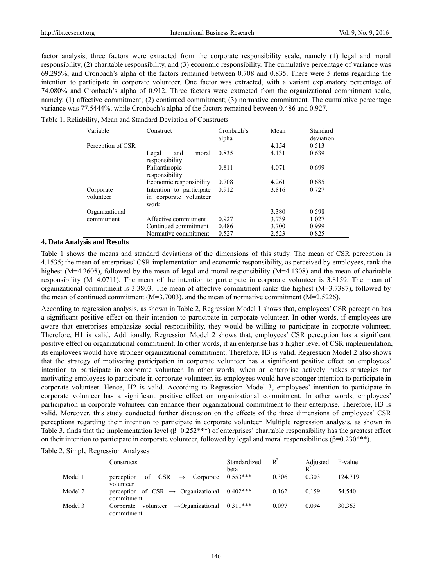factor analysis, three factors were extracted from the corporate responsibility scale, namely (1) legal and moral responsibility, (2) charitable responsibility, and (3) economic responsibility. The cumulative percentage of variance was 69.295%, and Cronbach's alpha of the factors remained between 0.708 and 0.835. There were 5 items regarding the intention to participate in corporate volunteer. One factor was extracted, with a variant explanatory percentage of 74.080% and Cronbach's alpha of 0.912. Three factors were extracted from the organizational commitment scale, namely, (1) affective commitment; (2) continued commitment; (3) normative commitment. The cumulative percentage variance was 77.5444%, while Cronbach's alpha of the factors remained between 0.486 and 0.927.

Table 1. Reliability, Mean and Standard Deviation of Constructs

| Variable               | Construct                                                  | Cronbach's | Mean  | Standard  |
|------------------------|------------------------------------------------------------|------------|-------|-----------|
|                        |                                                            | alpha      |       | deviation |
| Perception of CSR      |                                                            |            | 4.154 | 0.513     |
|                        | Legal<br>and<br>moral<br>responsibility                    | 0.835      | 4.131 | 0.639     |
|                        | Philanthropic<br>responsibility                            | 0.811      | 4.071 | 0.699     |
|                        | Economic responsibility                                    | 0.708      | 4.261 | 0.685     |
| Corporate<br>volunteer | Intention to participate<br>in corporate volunteer<br>work | 0.912      | 3.816 | 0.727     |
| Organizational         |                                                            |            | 3.380 | 0.598     |
| commitment             | Affective commitment                                       | 0.927      | 3.739 | 1.027     |
|                        | Continued commitment                                       | 0.486      | 3.700 | 0.999     |
|                        | Normative commitment                                       | 0.527      | 2.523 | 0.825     |

# **4. Data Analysis and Results**

Table 1 shows the means and standard deviations of the dimensions of this study. The mean of CSR perception is 4.1535; the mean of enterprises' CSR implementation and economic responsibility, as perceived by employees, rank the highest (M=4.2605), followed by the mean of legal and moral responsibility (M=4.1308) and the mean of charitable responsibility (M=4.0711). The mean of the intention to participate in corporate volunteer is 3.8159. The mean of organizational commitment is 3.3803. The mean of affective commitment ranks the highest (M=3.7387), followed by the mean of continued commitment  $(M=3.7003)$ , and the mean of normative commitment  $(M=2.5226)$ .

According to regression analysis, as shown in Table 2, Regression Model 1 shows that, employees' CSR perception has a significant positive effect on their intention to participate in corporate volunteer. In other words, if employees are aware that enterprises emphasize social responsibility, they would be willing to participate in corporate volunteer. Therefore, H1 is valid. Additionally, Regression Model 2 shows that, employees' CSR perception has a significant positive effect on organizational commitment. In other words, if an enterprise has a higher level of CSR implementation, its employees would have stronger organizational commitment. Therefore, H3 is valid. Regression Model 2 also shows that the strategy of motivating participation in corporate volunteer has a significant positive effect on employees' intention to participate in corporate volunteer. In other words, when an enterprise actively makes strategies for motivating employees to participate in corporate volunteer, its employees would have stronger intention to participate in corporate volunteer. Hence, H2 is valid. According to Regression Model 3, employees' intention to participate in corporate volunteer has a significant positive effect on organizational commitment. In other words, employees' participation in corporate volunteer can enhance their organizational commitment to their enterprise. Therefore, H3 is valid. Moreover, this study conducted further discussion on the effects of the three dimensions of employees' CSR perceptions regarding their intention to participate in corporate volunteer. Multiple regression analysis, as shown in Table 3, finds that the implementation level  $(\beta=0.252***)$  of enterprises' charitable responsibility has the greatest effect on their intention to participate in corporate volunteer, followed by legal and moral responsibilities (β=0.230\*\*\*).

|         | Constructs                                                        | Standardized<br>beta | $R^2$ | Adjusted | F-value |
|---------|-------------------------------------------------------------------|----------------------|-------|----------|---------|
| Model 1 | of $CSR \rightarrow$<br>Corporate<br>perception<br>volunteer      | $0.553***$           | 0.306 | 0.303    | 124.719 |
| Model 2 | perception of CSR $\rightarrow$ Organizational<br>commitment      | $0.402***$           | 0.162 | 0.159    | 54.540  |
| Model 3 | $\rightarrow$ Organizational<br>Corporate volunteer<br>commitment | $0.311***$           | 0.097 | 0.094    | 30.363  |

Table 2. Simple Regression Analyses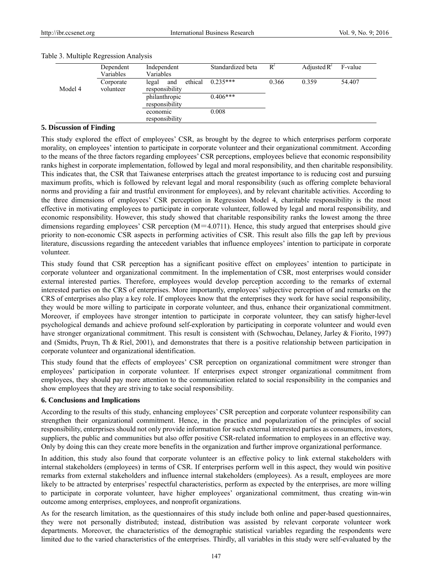|         | Dependent<br>Variables | Independent<br>Variables                  | Standardized beta | $R^2$ | Adjusted $R^2$ | F-value |
|---------|------------------------|-------------------------------------------|-------------------|-------|----------------|---------|
| Model 4 | Corporate<br>volunteer | ethical<br>legal<br>and<br>responsibility | $0.235***$        | 0.366 | 0.359          | 54.407  |
|         |                        | philanthropic<br>responsibility           | $0.406***$        |       |                |         |
|         |                        | economic<br>responsibility                | 0.008             |       |                |         |

## Table 3. Multiple Regression Analysis

## **5. Discussion of Finding**

This study explored the effect of employees' CSR, as brought by the degree to which enterprises perform corporate morality, on employees' intention to participate in corporate volunteer and their organizational commitment. According to the means of the three factors regarding employees' CSR perceptions, employees believe that economic responsibility ranks highest in corporate implementation, followed by legal and moral responsibility, and then charitable responsibility. This indicates that, the CSR that Taiwanese enterprises attach the greatest importance to is reducing cost and pursuing maximum profits, which is followed by relevant legal and moral responsibility (such as offering complete behavioral norms and providing a fair and trustful environment for employees), and by relevant charitable activities. According to the three dimensions of employees' CSR perception in Regression Model 4, charitable responsibility is the most effective in motivating employees to participate in corporate volunteer, followed by legal and moral responsibility, and economic responsibility. However, this study showed that charitable responsibility ranks the lowest among the three dimensions regarding employees' CSR perception  $(M=4.0711)$ . Hence, this study argued that enterprises should give priority to non-economic CSR aspects in performing activities of CSR. This result also fills the gap left by previous literature, discussions regarding the antecedent variables that influence employees' intention to participate in corporate volunteer.

This study found that CSR perception has a significant positive effect on employees' intention to participate in corporate volunteer and organizational commitment. In the implementation of CSR, most enterprises would consider external interested parties. Therefore, employees would develop perception according to the remarks of external interested parties on the CRS of enterprises. More importantly, employees' subjective perception of and remarks on the CRS of enterprises also play a key role. If employees know that the enterprises they work for have social responsibility, they would be more willing to participate in corporate volunteer, and thus, enhance their organizational commitment. Moreover, if employees have stronger intention to participate in corporate volunteer, they can satisfy higher-level psychological demands and achieve profound self-exploration by participating in corporate volunteer and would even have stronger organizational commitment. This result is consistent with (Schwochau, Delaney, Jarley & Fiorito, 1997) and (Smidts, Pruyn, Th & Riel, 2001), and demonstrates that there is a positive relationship between participation in corporate volunteer and organizational identification.

This study found that the effects of employees' CSR perception on organizational commitment were stronger than employees' participation in corporate volunteer. If enterprises expect stronger organizational commitment from employees, they should pay more attention to the communication related to social responsibility in the companies and show employees that they are striving to take social responsibility.

#### **6. Conclusions and Implications**

According to the results of this study, enhancing employees' CSR perception and corporate volunteer responsibility can strengthen their organizational commitment. Hence, in the practice and popularization of the principles of social responsibility, enterprises should not only provide information for such external interested parties as consumers, investors, suppliers, the public and communities but also offer positive CSR-related information to employees in an effective way. Only by doing this can they create more benefits in the organization and further improve organizational performance.

In addition, this study also found that corporate volunteer is an effective policy to link external stakeholders with internal stakeholders (employees) in terms of CSR. If enterprises perform well in this aspect, they would win positive remarks from external stakeholders and influence internal stakeholders (employees). As a result, employees are more likely to be attracted by enterprises' respectful characteristics, perform as expected by the enterprises, are more willing to participate in corporate volunteer, have higher employees' organizational commitment, thus creating win-win outcome among enterprises, employees, and nonprofit organizations.

As for the research limitation, as the questionnaires of this study include both online and paper-based questionnaires, they were not personally distributed; instead, distribution was assisted by relevant corporate volunteer work departments. Moreover, the characteristics of the demographic statistical variables regarding the respondents were limited due to the varied characteristics of the enterprises. Thirdly, all variables in this study were self-evaluated by the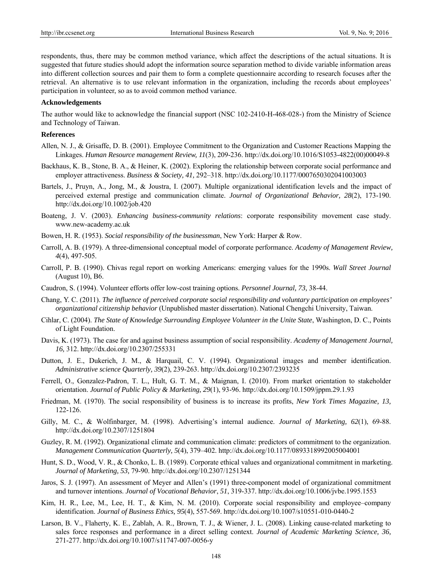respondents, thus, there may be common method variance, which affect the descriptions of the actual situations. It is suggested that future studies should adopt the information source separation method to divide variable information areas into different collection sources and pair them to form a complete questionnaire according to research focuses after the retrieval. An alternative is to use relevant information in the organization, including the records about employees' participation in volunteer, so as to avoid common method variance.

#### **Acknowledgements**

The author would like to acknowledge the financial support (NSC 102-2410-H-468-028-) from the Ministry of Science and Technology of Taiwan.

## **References**

- Allen, N. J., & Grisaffe, D. B. (2001). Employee Commitment to the Organization and Customer Reactions Mapping the Linkages. *Human Resource management Review, 11*(3), 209-236. http://dx.doi.org/10.1016/S1053-4822(00)00049-8
- Backhaus, K. B., Stone, B. A., & Heiner, K. (2002). Exploring the relationship between corporate social performance and employer attractiveness. *Business & Society, 41,* 292–318. http://dx.doi.org/10.1177/0007650302041003003
- Bartels, J., Pruyn, A., Jong, M., & Joustra, I. (2007). Multiple organizational identification levels and the impact of perceived external prestige and communication climate. *Journal of Organizational Behavior, 28*(2), 173-190. http://dx.doi.org/10.1002/job.420
- Boateng, J. V. (2003). *Enhancing business-community relations*: corporate responsibility movement case study. www.new-academy.ac.uk
- Bowen, H. R. (1953). *Social responsibility of the businessman*, New York: Harper & Row.
- Carroll, A. B. (1979). A three-dimensional conceptual model of corporate performance. *Academy of Management Review, 4*(4), 497-505.
- Carroll, P. B. (1990). Chivas regal report on working Americans: emerging values for the 1990s. *Wall Street Journal* (August 10), B6.
- Caudron, S. (1994). Volunteer efforts offer low-cost training options. *Personnel Journal, 73,* 38-44.
- Chang, Y. C. (2011). *The influence of perceived corporate social responsibility and voluntary participation on employees' organizational citizenship behavior* (Unpublished master dissertation). National Chengchi University, Taiwan.
- Cihlar, C. (2004). *The State of Knowledge Surrounding Employee Volunteer in the Unite State*, Washington, D. C., Points of Light Foundation.
- Davis, K. (1973). The case for and against business assumption of social responsibility. *Academy of Management Journal, 16,* 312. http://dx.doi.org/10.2307/255331
- Dutton, J. E., Dukerich, J. M., & Harquail, C. V. (1994). Organizational images and member identification. *Administrative science Quarterly, 39*(2), 239-263. http://dx.doi.org/10.2307/2393235
- Ferrell, O., Gonzalez-Padron, T. L., Hult, G. T. M., & Maignan, I. (2010). From market orientation to stakeholder orientation. *Journal of Public Policy & Marketing, 29*(1), 93-96. http://dx.doi.org/10.1509/jppm.29.1.93
- Friedman, M. (1970). The social responsibility of business is to increase its profits, *New York Times Magazine, 13,*  122-126.
- Gilly, M. C., & Wolfinbarger, M. (1998). Advertising's internal audience. *Journal of Marketing, 62*(1), 69-88. http://dx.doi.org/10.2307/1251804
- Guzley, R. M. (1992). Organizational climate and communication climate: predictors of commitment to the organization. *Management Communication Quarterly, 5*(4), 379–402. http://dx.doi.org/10.1177/0893318992005004001
- Hunt, S. D., Wood, V. R., & Chonko, L. B. (1989). Corporate ethical values and organizational commitment in marketing. *Journal of Marketing, 53,* 79-90. http://dx.doi.org/10.2307/1251344
- Jaros, S. J. (1997). An assessment of Meyer and Allen's (1991) three-component model of organizational commitment and turnover intentions. *Journal of Vocational Behavior*, *51*, 319-337. http://dx.doi.org/10.1006/jvbe.1995.1553
- Kim, H. R., Lee, M., Lee, H. T., & Kim, N. M. (2010). Corporate social responsibility and employee–company identification. *Journal of Business Ethics, 95*(4), 557-569. http://dx.doi.org/10.1007/s10551-010-0440-2
- Larson, B. V., Flaherty, K. E., Zablah, A. R., Brown, T. J., & Wiener, J. L. (2008). Linking cause-related marketing to sales force responses and performance in a direct selling context. *Journal of Academic Marketing Science, 36,*  271-277. http://dx.doi.org/10.1007/s11747-007-0056-y